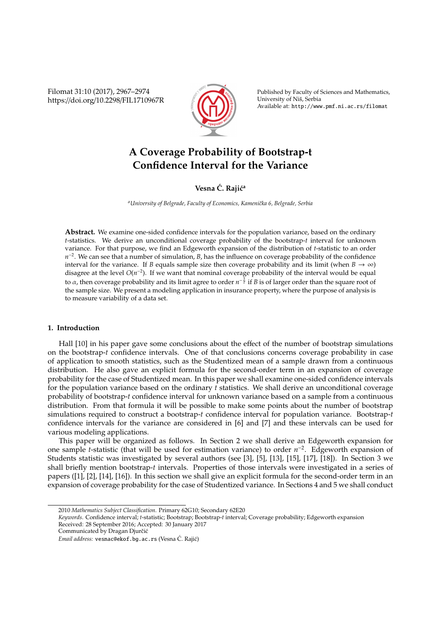Filomat 31:10 (2017), 2967–2974 https://doi.org/10.2298/FIL1710967R



Published by Faculty of Sciences and Mathematics, University of Niš, Serbia Available at: http://www.pmf.ni.ac.rs/filomat

# **A Coverage Probability of Bootstrap-t Confidence Interval for the Variance**

**Vesna**  $\acute{C}$ *.* **Rajić<sup>a</sup>** 

<sup>a</sup> University of Belgrade, Faculty of Economics, Kamenička 6, Belgrade, Serbia

**Abstract.** We examine one-sided confidence intervals for the population variance, based on the ordinary *t*-statistics. We derive an unconditional coverage probability of the bootstrap-*t* interval for unknown variance. For that purpose, we find an Edgeworth expansion of the distribution of *t*-statistic to an order *n*<sup>-2</sup>. We can see that a number of simulation, *B*, has the influence on coverage probability of the confidence interval for the variance. If *B* equals sample size then coverage probability and its limit (when  $B \to \infty$ ) disagree at the level *O*(*n* −2 ). If we want that nominal coverage probability of the interval would be equal to α, then coverage probability and its limit agree to order  $n^{-\frac{3}{2}}$  if *B* is of larger order than the square root of the sample size. We present a modeling application in insurance property, where the purpose of analysis is to measure variability of a data set.

## **1. Introduction**

Hall [10] in his paper gave some conclusions about the effect of the number of bootstrap simulations on the bootstrap-*t* confidence intervals. One of that conclusions concerns coverage probability in case of application to smooth statistics, such as the Studentized mean of a sample drawn from a continuous distribution. He also gave an explicit formula for the second-order term in an expansion of coverage probability for the case of Studentized mean. In this paper we shall examine one-sided confidence intervals for the population variance based on the ordinary *t* statistics. We shall derive an unconditional coverage probability of bootstrap-*t* confidence interval for unknown variance based on a sample from a continuous distribution. From that formula it will be possible to make some points about the number of bootstrap simulations required to construct a bootstrap-*t* confidence interval for population variance. Bootstrap-*t* confidence intervals for the variance are considered in [6] and [7] and these intervals can be used for various modeling applications.

This paper will be organized as follows. In Section 2 we shall derive an Edgeworth expansion for one sample *t*-statistic (that will be used for estimation variance) to order *n* −2 . Edgeworth expansion of Students statistic was investigated by several authors (see [3], [5], [13], [15], [17], [18]). In Section 3 we shall briefly mention bootstrap-*t* intervals. Properties of those intervals were investigated in a series of papers ([1], [2], [14], [16]). In this section we shall give an explicit formula for the second-order term in an expansion of coverage probability for the case of Studentized variance. In Sections 4 and 5 we shall conduct

<sup>2010</sup> *Mathematics Subject Classification*. Primary 62G10; Secondary 62E20

*Keywords*. Confidence interval; *t*-statistic; Bootstrap; Bootstrap-*t* interval; Coverage probability; Edgeworth expansion Received: 28 September 2016; Accepted: 30 January 2017

Communicated by Dragan Djurčić

Email address: vesnac@ekof.bg.ac.rs (Vesna Ć. Rajić)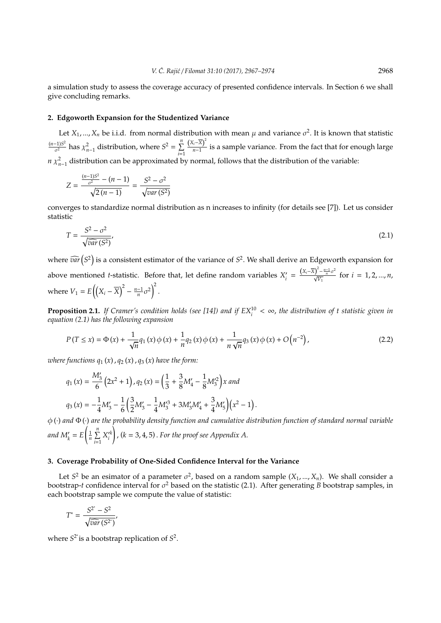a simulation study to assess the coverage accuracy of presented confidence intervals. In Section 6 we shall give concluding remarks.

## **2. Edgoworth Expansion for the Studentized Variance**

Let  $X_1, ..., X_n$  be i.i.d. from normal distribution with mean  $\mu$  and variance  $\sigma^2$ . It is known that statistic (*n*−1)*S* 2  $\chi^2_{n-1}$  distribution, where  $S^2 = \sum_{i=1}^n$ *i*=1  $(X_i - \overline{X})^2$  $\frac{n}{n-1}$  is a sample variance. From the fact that for enough large *n*  $\chi^2_{n-1}$  distribution can be approximated by normal, follows that the distribution of the variable:

$$
Z = \frac{\frac{(n-1)S^2}{\sigma^2} - (n-1)}{\sqrt{2(n-1)}} = \frac{S^2 - \sigma^2}{\sqrt{var(S^2)}}
$$

converges to standardize normal distribution as n increases to infinity (for details see [7]). Let us consider statistic

$$
T = \frac{S^2 - \sigma^2}{\sqrt{\widehat{var}(S^2)}},\tag{2.1}
$$

where  $\widehat{var}(S^2)$  is a consistent estimator of the variance of  $S^2$ . We shall derive an Edgeworth expansion for above mentioned *t*-statistic. Before that, let define random variables *X*<sup>2</sup>  $\frac{\sum_{i=1}^{n} (X_i - \overline{X})^2 - \frac{n-1}{n} \sigma^2}{\sqrt{V_1}}$  for  $i = 1, 2, ..., n$ , where  $V_1 = E\left(\left(X_i - \overline{X}\right)^2 - \frac{n-1}{n}\sigma^2\right)^2$ .

**Proposition 2.1.** If Cramer's condition holds (see [14]) and if  $EX_i^{10} < \infty$ , the distribution of t statistic given in *equation (2.1) has the following expansion*

$$
P(T \le x) = \Phi(x) + \frac{1}{\sqrt{n}} q_1(x) \phi(x) + \frac{1}{n} q_2(x) \phi(x) + \frac{1}{n \sqrt{n}} q_3(x) \phi(x) + O(n^{-2}),
$$
\n(2.2)

.

*where functions*  $q_1(x)$ ,  $q_2(x)$ ,  $q_3(x)$  *have the form:* 

$$
q_1(x) = \frac{M'_3}{6} (2x^2 + 1), q_2(x) = \left(\frac{1}{3} + \frac{3}{8}M'_4 - \frac{1}{8}M'_3\right)x \text{ and}
$$
  

$$
q_3(x) = -\frac{1}{4}M'_3 - \frac{1}{6}\left(\frac{3}{2}M'_3 - \frac{1}{4}M'_3\right) + 3M'_3M'_4 + \frac{3}{4}M'_5\left(\frac{x^2 - 1}{x^2 - 1}\right)
$$

φ (·) *and* Φ (·) *are the probability density function and cumulative distribution function of standard normal variable* and  $M'_k = E$  $\left(\frac{1}{n}\sum_{i=1}^n$  $\sum_{i=1}^n X_i^{\prime k}$ ! , (*k* = 3, 4, 5) . *For the proof see Appendix A.*

## **3. Coverage Probability of One-Sided Confidence Interval for the Variance**

Let  $S^2$  be an esimator of a parameter  $\sigma^2$ , based on a random sample  $(X_1, ..., X_n)$ . We shall consider a bootstrap-*t* confidence interval for  $\sigma^2$  based on the statistic (2.1). After generating *B* bootstrap samples, in each bootstrap sample we compute the value of statistic:

$$
T^* = \frac{S^{2^*} - S^2}{\sqrt{\widehat{var}(S^{2^*})}},
$$

where  $S^2$  is a bootstrap replication of  $S^2$ .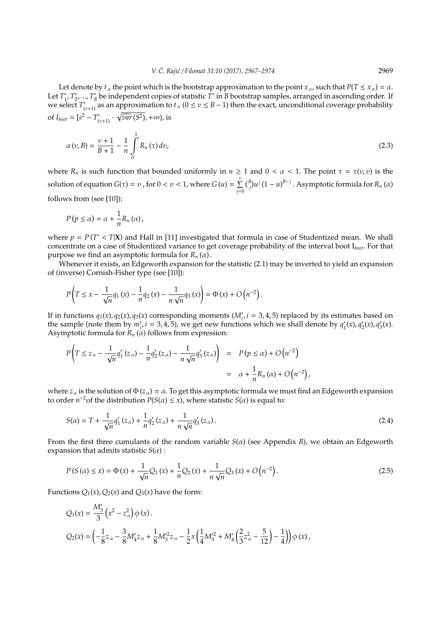Let denote by  $t_\alpha$  the point which is the bootstrap approximation to the point  $x_\alpha$ , such that  $P(T \le x_\alpha) = \alpha$ . Let *T* ∗ 1 , *T* ∗ ∗<br>2'…, *T*<sub>*t*</sub> *B* be independent copies of statistic *T* ∗ in *B* bootstrap samples, arranged in ascending order. If we select *T* ∗  $\int_{(v+1)}^{*}$  as an approximation to  $t_{\alpha}$  ( $0 \le v \le B-1$ ) then the exact, unconditional coverage probability of  $I_{boot} = [s^2 - T^*_{\ell}]$  $\sqrt[n]{var(S^2)}$ , + $\infty$ ), is

$$
\alpha(v, B) = \frac{v+1}{B+1} - \frac{1}{n} \int_{0}^{1} R_n(\tau) dv,
$$
\n(2.3)

where  $R_n$  is such function that bounded uniformly in  $n \ge 1$  and  $0 < \alpha < 1$ . The point  $\tau = \tau(\nu, \nu)$  is the solution of equation  $G(\tau) = \nu$  , for  $0 < \nu < 1$ , where  $G(u) = \sum_{n=1}^{\nu}$ *j*=0  $\binom{B}{j} u^j (1 - u)^{B-j}$ . Asymptotic formula for *R<sub>n</sub>* (*α*) follows from (see [10]):

$$
P(p \leq \alpha) = \alpha + \frac{1}{n} R_n(\alpha),
$$

where  $p = P(T^* < T|X)$  and Hall in [11] investigated that formula in case of Studentized mean. We shall concentrate on a case of Studentized variance to get coverage probability of the interval boot I*boot*. For that purpose we find an asymptotic formula for  $R_n(\alpha)$ .

Whenever it exists, an Edgeworth expansion for the statistic (2.1) may be inverted to yield an expansion of (inverse) Cornish-Fisher type (see [10]):

$$
P\left(T \le x - \frac{1}{\sqrt{n}} q_1(x) - \frac{1}{n} q_2(x) - \frac{1}{n \sqrt{n}} q_3(x)\right) = \Phi(x) + O\left(n^{-2}\right).
$$

If in functions  $q_1(x)$ ,  $q_2(x)$ ,  $q_3(x)$  corresponding moments ( $M'_i$ ,  $i = 3, 4, 5$ ) replaced by its estimates based on the sample (note them by  $m'_i$ ,  $i = 3, 4, 5$ ), we get new functions which we shall denote by  $q'_i$  $q'_1(x)$ ,  $q'_2$  $q'_2(x)$ ,  $q'_3$  $y'_{3}(x)$ . Asymptotic formula for  $R_n(\alpha)$  follows from expression:

$$
P\left(T \le z_\alpha - \frac{1}{\sqrt{n}} q_1'(z_\alpha) - \frac{1}{n} q_2'(z_\alpha) - \frac{1}{n \sqrt{n}} q_3'(z_\alpha)\right) = P(p \le \alpha) + O(n^{-2})
$$
  
=  $\alpha + \frac{1}{n} R_n(\alpha) + O(n^{-2}),$ 

where  $z_\alpha$  is the solution of  $\Phi(z_\alpha) = \alpha$ . To get this asymptotic formula we must find an Edgeworth expansion to order  $n^{-2}$ of the distribution  $P(S(\alpha) \leq x)$ , where statistic  $S(\alpha)$  is equal to:

$$
S(\alpha) = T + \frac{1}{\sqrt{n}} q_1' (z_\alpha) + \frac{1}{n} q_2' (z_\alpha) + \frac{1}{n \sqrt{n}} q_3' (z_\alpha).
$$
 (2.4)

From the first three cumulants of the random variable *S*(α) (see Appendix *B*), we obtain an Edgeworth expansion that admits statistic  $S(\alpha)$ :

$$
P(S(\alpha) \le x) = \Phi(x) + \frac{1}{\sqrt{n}} Q_1(x) + \frac{1}{n} Q_2(x) + \frac{1}{n\sqrt{n}} Q_3(x) + O(n^{-2}).
$$
\n(2.5)

Functions  $Q_1(x)$ ,  $Q_2(x)$  and  $Q_3(x)$  have the form:

$$
\begin{split} &Q_1(x)=\frac{M_3'}{3}\left(x^2-z_\alpha^2\right)\phi\left(x\right).\\ &Q_2(x)=\left(-\frac{1}{8}z_\alpha-\frac{3}{8}M_4'z_\alpha+\frac{1}{8}M_3'^2z_\alpha-\frac{1}{2}x\left(\frac{1}{4}M_3'^2+M_4'\left(\frac{2}{3}z_\alpha^2-\frac{5}{12}\right)-\frac{1}{4}\right)\right)\phi\left(x\right), \end{split}
$$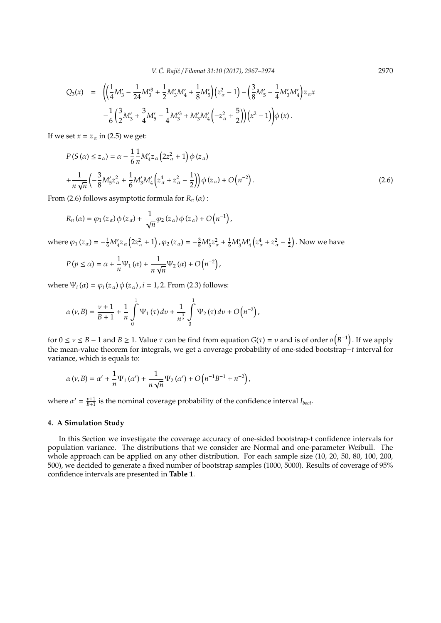*V. C. Raji´c ´* / *Filomat 31:10 (2017), 2967–2974* 2970

$$
Q_3(x) = \left( \left( \frac{1}{4} M'_3 - \frac{1}{24} M'^3_3 + \frac{1}{2} M'_3 M'_4 + \frac{1}{8} M'_5 \right) \left( z_\alpha^2 - 1 \right) - \left( \frac{3}{8} M'_5 - \frac{1}{4} M'_3 M'_4 \right) z_\alpha x - \frac{1}{6} \left( \frac{3}{2} M'_3 + \frac{3}{4} M'_5 - \frac{1}{4} M'^3_3 + M'_3 M'_4 \left( -z_\alpha^2 + \frac{5}{2} \right) \right) \left( x^2 - 1 \right) \right) \phi(x).
$$

If we set  $x = z_\alpha$  in (2.5) we get:

$$
P(S(\alpha) \le z_{\alpha}) = \alpha - \frac{1}{6} \frac{1}{n} M'_{4} z_{\alpha} (2z_{\alpha}^{2} + 1) \phi(z_{\alpha})
$$
  
+ 
$$
\frac{1}{n \sqrt{n}} \left( -\frac{3}{8} M'_{5} z_{\alpha}^{2} + \frac{1}{6} M'_{3} M'_{4} \left( z_{\alpha}^{4} + z_{\alpha}^{2} - \frac{1}{2} \right) \right) \phi(z_{\alpha}) + O(n^{-2}).
$$
 (2.6)

From (2.6) follows asymptotic formula for  $R_n(\alpha)$ :

$$
R_n(\alpha) = \varphi_1(z_\alpha) \varphi(z_\alpha) + \frac{1}{\sqrt{n}} \varphi_2(z_\alpha) \varphi(z_\alpha) + O\left(n^{-1}\right),
$$

where  $\varphi_1(z_\alpha) = -\frac{1}{6}M'_4z_\alpha(2z_\alpha^2 + 1)$ ,  $\varphi_2(z_\alpha) = -\frac{3}{8}M'_5z_\alpha^2 + \frac{1}{6}M'_3M'_4(z_\alpha^4 + z_\alpha^2 - \frac{1}{2})$ . Now we have

$$
P(p \le \alpha) = \alpha + \frac{1}{n} \Psi_1(\alpha) + \frac{1}{n \sqrt{n}} \Psi_2(\alpha) + O(n^{-2}),
$$

where  $\Psi_i(\alpha) = \varphi_i(z_\alpha) \varphi(z_\alpha)$ ,  $i = 1, 2$ . From (2.3) follows:

$$
\alpha(v,B) = \frac{v+1}{B+1} + \frac{1}{n} \int_{0}^{1} \Psi_1(\tau) \, dv + \frac{1}{n^{\frac{3}{2}}} \int_{0}^{1} \Psi_2(\tau) \, dv + O\left(n^{-2}\right),
$$

for  $0 \le v \le B - 1$  and  $B \ge 1$ . Value  $\tau$  can be find from equation  $G(\tau) = v$  and is of order  $o(B^{-1})$ . If we apply the mean-value theorem for integrals, we get a coverage probability of one-sided bootstrap−*t* interval for variance, which is equals to:

$$
\alpha(v,B)=\alpha'+\frac{1}{n}\Psi_1\left(\alpha'\right)+\frac{1}{n\sqrt{n}}\Psi_2\left(\alpha'\right)+O\left(n^{-1}B^{-1}+n^{-2}\right),
$$

where  $\alpha' = \frac{\nu+1}{B+1}$  is the nominal coverage probability of the confidence interval *I*<sub>*boot*</sub>.

#### **4. A Simulation Study**

In this Section we investigate the coverage accuracy of one-sided bootstrap-t confidence intervals for population variance. The distributions that we consider are Normal and one-parameter Weibull. The whole approach can be applied on any other distribution. For each sample size (10, 20, 50, 80, 100, 200, 500), we decided to generate a fixed number of bootstrap samples (1000, 5000). Results of coverage of 95% confidence intervals are presented in **Table 1**.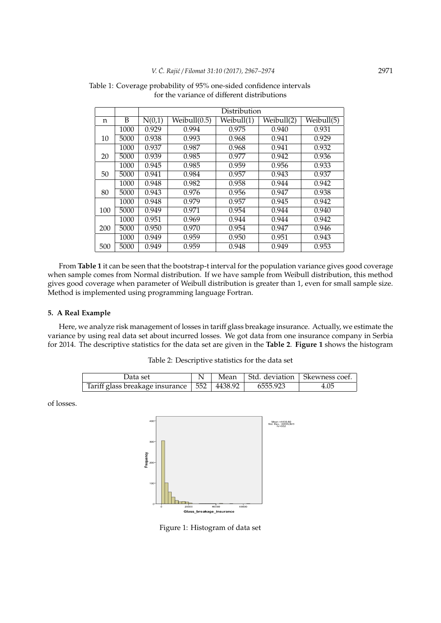|     |      | Distribution |                                  |            |            |            |  |  |  |
|-----|------|--------------|----------------------------------|------------|------------|------------|--|--|--|
| n   | B    | N(0,1)       | $\overline{\text{Weibull}}(0.5)$ | Weibull(1) | Weibull(2) | Weibull(5) |  |  |  |
|     | 1000 | 0.929        | 0.994                            | 0.975      | 0.940      | 0.931      |  |  |  |
| 10  | 5000 | 0.938        | 0.993                            | 0.968      | 0.941      | 0.929      |  |  |  |
|     | 1000 | 0.937        | 0.987                            | 0.968      | 0.941      | 0.932      |  |  |  |
| 20  | 5000 | 0.939        | 0.985                            | 0.977      | 0.942      | 0.936      |  |  |  |
|     | 1000 | 0.945        | 0.985                            | 0.959      | 0.956      | 0.933      |  |  |  |
| 50  | 5000 | 0.941        | 0.984                            | 0.957      | 0.943      | 0.937      |  |  |  |
|     | 1000 | 0.948        | 0.982                            | 0.958      | 0.944      | 0.942      |  |  |  |
| 80  | 5000 | 0.943        | 0.976                            | 0.956      | 0.947      | 0.938      |  |  |  |
|     | 1000 | 0.948        | 0.979                            | 0.957      | 0.945      | 0.942      |  |  |  |
| 100 | 5000 | 0.949        | 0.971                            | 0.954      | 0.944      | 0.940      |  |  |  |
|     | 1000 | 0.951        | 0.969                            | 0.944      | 0.944      | 0.942      |  |  |  |
| 200 | 5000 | 0.950        | 0.970                            | 0.954      | 0.947      | 0.946      |  |  |  |
|     | 1000 | 0.949        | 0.959                            | 0.950      | 0.951      | 0.943      |  |  |  |
| 500 | 5000 | 0.949        | 0.959                            | 0.948      | 0.949      | 0.953      |  |  |  |

Table 1: Coverage probability of 95% one-sided confidence intervals for the variance of different distributions

From **Table 1** it can be seen that the bootstrap-t interval for the population variance gives good coverage when sample comes from Normal distribution. If we have sample from Weibull distribution, this method gives good coverage when parameter of Weibull distribution is greater than 1, even for small sample size. Method is implemented using programming language Fortran.

## **5. A Real Example**

Here, we analyze risk management of losses in tariff glass breakage insurance. Actually, we estimate the variance by using real data set about incurred losses. We got data from one insurance company in Serbia for 2014. The descriptive statistics for the data set are given in the **Table 2**. **Figure 1** shows the histogram

| Data set                                                        |  | Mean   Std. deviation   Skewness coef. |      |
|-----------------------------------------------------------------|--|----------------------------------------|------|
| Tariff glass breakage insurance $\vert 552 \vert 4438.92 \vert$ |  | 6555.923                               | 4.05 |

of losses.



Figure 1: Histogram of data set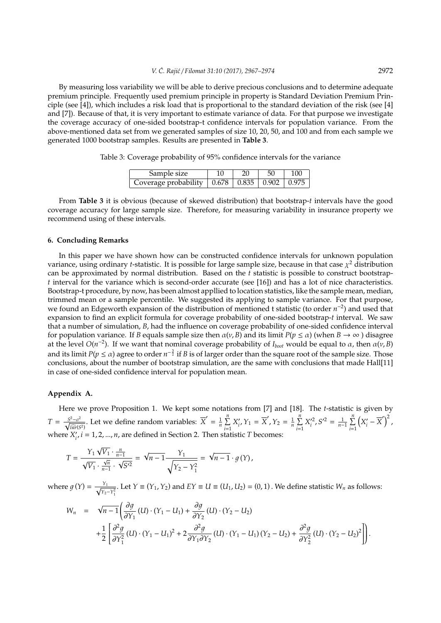By measuring loss variability we will be able to derive precious conclusions and to determine adequate premium principle. Frequently used premium principle in property is Standard Deviation Premium Principle (see [4]), which includes a risk load that is proportional to the standard deviation of the risk (see [4] and [7]). Because of that, it is very important to estimate variance of data. For that purpose we investigate the coverage accuracy of one-sided bootstrap-t confidence intervals for population variance. From the above-mentioned data set from we generated samples of size 10, 20, 50, and 100 and from each sample we generated 1000 bootstrap samples. Results are presented in **Table 3**.

Table 3: Coverage probability of 95% confidence intervals for the variance

| Sample size                                          |  |  |
|------------------------------------------------------|--|--|
| Coverage probability   0.678   0.835   0.902   0.975 |  |  |

From **Table 3** it is obvious (because of skewed distribution) that bootstrap-*t* intervals have the good coverage accuracy for large sample size. Therefore, for measuring variability in insurance property we recommend using of these intervals.

#### **6. Concluding Remarks**

In this paper we have shown how can be constructed confidence intervals for unknown population variance, using ordinary *t*-statistic. It is possible for large sample size, because in that case  $\chi^2$  distribution can be approximated by normal distribution. Based on the *t* statistic is possible to construct bootstrap*t* interval for the variance which is second-order accurate (see [16]) and has a lot of nice characteristics. Bootstrap-t procedure, by now, has been almost appllied to location statistics, like the sample mean, median, trimmed mean or a sample percentile. We suggested its applying to sample variance. For that purpose, we found an Edgeworth expansion of the distribution of mentioned t statistic (to order *n*<sup>-2</sup>) and used that expansion to find an explicit formula for coverage probability of one-sided bootstrap-*t* interval. We saw that a number of simulation, *B*, had the influence on coverage probability of one-sided confidence interval for population variance. If *B* equals sample size then  $\alpha(\nu, B)$  and its limit  $P(p \le \alpha)$  (when  $B \to \infty$ ) disagree at the level  $O(n^{-2})$ . If we want that nominal coverage probability of  $I_{boot}$  would be equal to  $\alpha$ , then  $\alpha(v, B)$ and its limit  $P(p \leq \alpha)$  agree to order  $n^{-\frac{3}{2}}$  if  $B$  is of larger order than the square root of the sample size. Those conclusions, about the number of bootstrap simulation, are the same with conclusions that made Hall[11] in case of one-sided confidence interval for population mean.

### **Appendix A.**

Here we prove Proposition 1. We kept some notations from [7] and [18]. The *t*-statistic is given by  $T = \frac{S^2 - \sigma^2}{\sqrt{S^2 - \sigma^2}}$  $\frac{d^2 - \sigma^2}{\sqrt{m}}$ . Let we define random variables:  $\overline{X}' = \frac{1}{n} \sum_{i=1}^{n}$  $\sum_{i=1}^n X_i'$  $Y_i, Y_1 = \overline{X}', Y_2 = \frac{1}{n} \sum_{i=1}^{n}$  $\sum_{i=1}^{n} X_i'^2, S'^2 = \frac{1}{n-1} \sum_{i=1}^{n}$ *i*=1  $(X_i$  $\left(\frac{y}{i} - \overline{X}'\right)^2$ where  $X_i'$  $I'_{i'}$ ,  $i = 1, 2, ..., n$ , are defined in Section 2. Then statistic *T* becomes:

$$
T = \frac{Y_1 \sqrt{V_1} \cdot \frac{n}{n-1}}{\sqrt{V_1} \cdot \frac{\sqrt{n}}{n-1} \cdot \sqrt{S'^2}} = \sqrt{n-1} \frac{Y_1}{\sqrt{Y_2 - Y_1^2}} = \sqrt{n-1} \cdot g(Y),
$$

where  $g(Y) = \frac{Y_1}{\sqrt{Y}}$ *Y*<sub>1</sub>−*Y*<sub>2</sub></sub>. Let *Y* ≡ (*Y*<sub>1</sub>, *Y*<sub>2</sub>) and *EY* ≡ *U* ≡ (*U*<sub>1</sub>, *U*<sub>2</sub>) = (0, 1). We define statistic *W<sub>n</sub>* as follows:

$$
\begin{array}{lcl} W_n & = & \sqrt{n-1} \left( \frac{\partial g}{\partial Y_1} \left( U \right) \cdot \left( Y_1 - U_1 \right) + \frac{\partial g}{\partial Y_2} \left( U \right) \cdot \left( Y_2 - U_2 \right) \right. \\ & & \left. + \frac{1}{2} \left[ \frac{\partial^2 g}{\partial Y_1^2} \left( U \right) \cdot \left( Y_1 - U_1 \right)^2 + 2 \frac{\partial^2 g}{\partial Y_1 \partial Y_2} \left( U \right) \cdot \left( Y_1 - U_1 \right) \left( Y_2 - U_2 \right) + \frac{\partial^2 g}{\partial Y_2^2} \left( U \right) \cdot \left( Y_2 - U_2 \right)^2 \right] \right). \end{array}
$$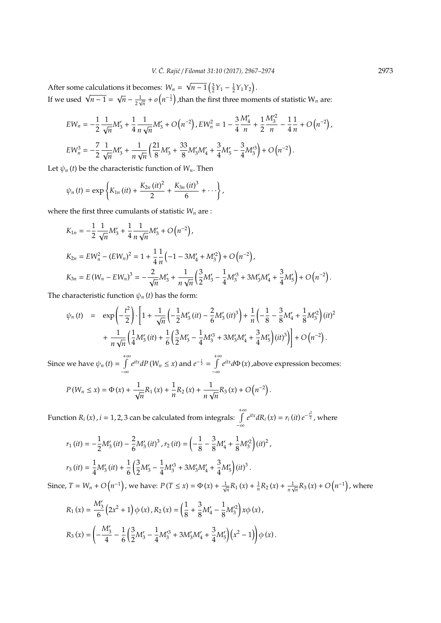After some calculations it becomes: *W<sup>n</sup>* = After some calculations it becomes:  $W_n = \sqrt{n-1} \left(\frac{3}{2}Y_1 - \frac{1}{2}Y_1Y_2\right)$ .<br>If we used  $\sqrt{n-1} = \sqrt{n} - \frac{1}{2\sqrt{n}} + o\left(n^{-\frac{1}{2}}\right)$ , than the first three mom  $\frac{1}{2\sqrt{n}}+o\left(n^{-\frac{1}{2}}\right)$ , than the first three moments of statistic  $\mathrm{W}_{n}$  are:

$$
\begin{split} & EW_n = -\frac{1}{2}\frac{1}{\sqrt{n}}M_3' + \frac{1}{4}\frac{1}{n\sqrt{n}}M_3' + O\left(n^{-2}\right), EW_n^2 = 1 - \frac{3}{4}\frac{M_4'}{n} + \frac{1}{2}\frac{M_3'^2}{n} - \frac{1}{4}\frac{1}{n} + O\left(n^{-2}\right), \\ & EW_n^3 = -\frac{7}{2}\frac{1}{\sqrt{n}}M_3' + \frac{1}{n\sqrt{n}}\Big(\frac{21}{8}M_3' + \frac{33}{8}M_3'M_4' + \frac{3}{4}M_5' - \frac{3}{4}M_3'^3\Big) + O\left(n^{-2}\right). \end{split}
$$

Let  $\psi_n(t)$  be the characteristic function of  $W_n$ . Then

$$
\psi_n(t) = \exp\left\{K_{1n}(it) + \frac{K_{2n}(it)^2}{2} + \frac{K_{3n}(it)^3}{6} + \cdots\right\},\,
$$

where the first three cumulants of statistic  $W_n$  are :

$$
K_{1n} = -\frac{1}{2} \frac{1}{\sqrt{n}} M_3' + \frac{1}{4} \frac{1}{n \sqrt{n}} M_3' + O(n^{-2}),
$$
  
\n
$$
K_{2n} = EW_n^2 - (EW_n)^2 = 1 + \frac{1}{4} \frac{1}{n} \left( -1 - 3M_4' + M_3'^2 \right) + O(n^{-2}),
$$
  
\n
$$
K_{3n} = E(W_n - EW_n)^3 = -\frac{2}{\sqrt{n}} M_3' + \frac{1}{n \sqrt{n}} \left( \frac{3}{2} M_3' - \frac{1}{4} M_3'^3 + 3M_3' M_4' + \frac{3}{4} M_5' \right) + O(n^{-2}).
$$

The characteristic function  $\psi_n(t)$  has the form:

$$
\psi_n(t) = \exp\left(-\frac{t^2}{2}\right) \cdot \left[1 + \frac{1}{\sqrt{n}} \left(-\frac{1}{2} M_3'(it) - \frac{2}{6} M_3'(it)^3\right) + \frac{1}{n} \left(-\frac{1}{8} - \frac{3}{8} M_4' + \frac{1}{8} M_3'^2\right) (it)^2 + \frac{1}{n\sqrt{n}} \left(\frac{1}{4} M_3'(it) + \frac{1}{6} \left(\frac{3}{2} M_3' - \frac{1}{4} M_3'^3 + 3 M_3' M_4' + \frac{3}{4} M_5'\right) (it)^3\right)\right] + O\left(n^{-2}\right).
$$

Since we have  $\psi_n(t) = \int_0^{+\infty}$  $\int_{-\infty}^{+\infty} e^{itx} dP(W_n \leq x)$  and  $e^{-\frac{t}{2}} = \int_{-\infty}^{+\infty}$ −∞ *e itxd*Φ (*x*) ,above expression becomes:

$$
P(W_n \le x) = \Phi(x) + \frac{1}{\sqrt{n}} R_1(x) + \frac{1}{n} R_2(x) + \frac{1}{n \sqrt{n}} R_3(x) + O(n^{-2}).
$$

Function  $R_i(x)$ ,  $i = 1, 2, 3$  can be calculated from integrals:  $\int_0^{+\infty}$  $\int_{-\infty}^{\infty} e^{itx} dR_i(x) = r_i(it) e^{-\frac{t^2}{2}}$ , where

$$
r_1 (it) = -\frac{1}{2} M'_3 (it) - \frac{2}{6} M'_3 (it)^3 , r_2 (it) = \left(-\frac{1}{8} - \frac{3}{8} M'_4 + \frac{1}{8} M'^2_3\right) (it)^2 ,
$$
  

$$
r_3 (it) = \frac{1}{4} M'_3 (it) + \frac{1}{6} \left(\frac{3}{2} M'_3 - \frac{1}{4} M'^3_3 + 3 M'_3 M'_4 + \frac{3}{4} M'_5\right) (it)^3 .
$$

Since,  $T = W_n + O(n^{-1})$ , we have:  $P(T \le x) = \Phi(x) + \frac{1}{\sqrt{n}} R_1(x) + \frac{1}{n} R_2(x) + \frac{1}{n}$  $\frac{1}{n\sqrt{n}}R_3(x) + O(n^{-1})$ , where

$$
R_1(x) = \frac{M'_3}{6} (2x^2 + 1) \phi(x), R_2(x) = \left(\frac{1}{8} + \frac{3}{8}M'_4 - \frac{1}{8}M'^2_3\right) x\phi(x),
$$
  

$$
R_3(x) = \left(-\frac{M'_3}{4} - \frac{1}{6} \left(\frac{3}{2}M'_3 - \frac{1}{4}M'^3_3 + 3M'_3M'_4 + \frac{3}{4}M'_5\right) \left(x^2 - 1\right)\right) \phi(x).
$$